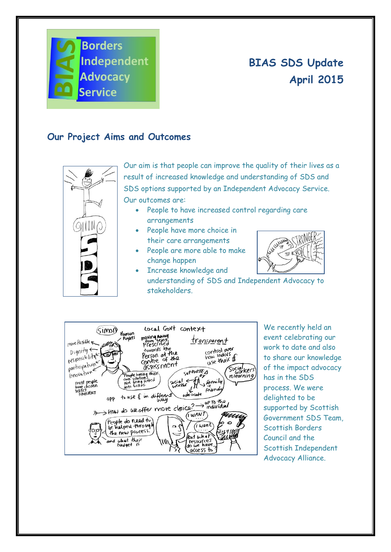

## **BIAS SDS Update April 2015**

## **Our Project Aims and Outcomes**



Our aim is that people can improve the quality of their lives as a result of increased knowledge and understanding of SDS and SDS options supported by an Independent Advocacy Service. Our outcomes are:

- People to have increased control regarding care arrangements
- People have more choice in their care arrangements
- People are more able to make change happen
- 
- Increase knowledge and understanding of SDS and Independent Advocacy to stakeholders.



We recently held an event celebrating our work to date and also to share our knowledge of the impact advocacy has in the SDS process. We were delighted to be supported by Scottish Government SDS Team, Scottish Borders Council and the Scottish Independent Advocacy Alliance.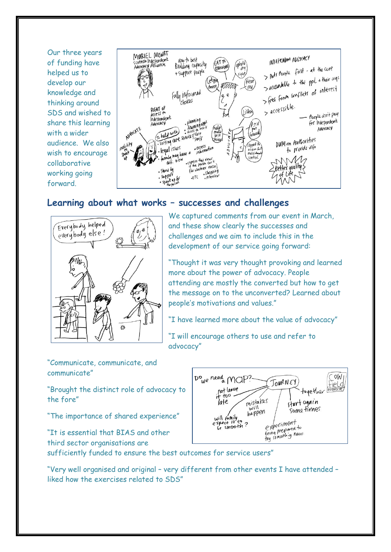Our three years of funding have helped us to develop our knowledge and thinking around SDS and wished to share this learning with a wider audience. We also wish to encourage collaborative working going forward.



## **Learning about what works – successes and challenges**



We captured comments from our event in March, and these show clearly the successes and challenges and we aim to include this in the development of our service going forward:

"Thought it was very thought provoking and learned more about the power of advocacy. People attending are mostly the converted but how to get the message on to the unconverted? Learned about people's motivations and values."

"I have learned more about the value of advocacy"

"I will encourage others to use and refer to advocacy"

"Communicate, communicate, and communicate"

"Brought the distinct role of advocacy to the fore"

"The importance of shared experience"

"It is essential that BIAS and other third sector organisations are



sufficiently funded to ensure the best outcomes for service users"

"Very well organised and original – very different from other events I have attended – liked how the exercises related to SDS"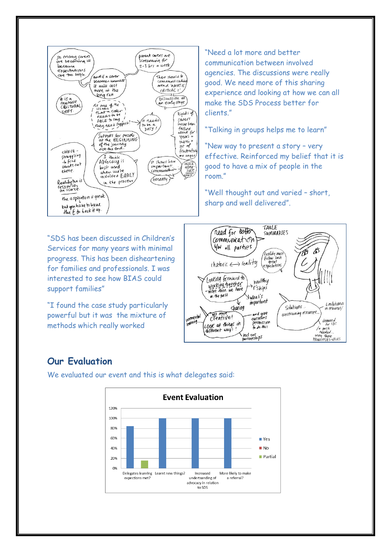

"Need a lot more and better communication between involved agencies. The discussions were really good. We need more of this sharing experience and looking at how we can all make the SDS Process better for clients."

"Talking in groups helps me to learn"

"New way to present a story – very effective. Reinforced my belief that it is good to have a mix of people in the room."

"Well thought out and varied – short, sharp and well delivered".

"SDS has been discussed in Children's Services for many years with minimal progress. This has been disheartening for families and professionals. I was interested to see how BIAS could support families"

"I found the case study particularly powerful but it was the mixture of methods which really worked



## **Our Evaluation**

We evaluated our event and this is what delegates said: